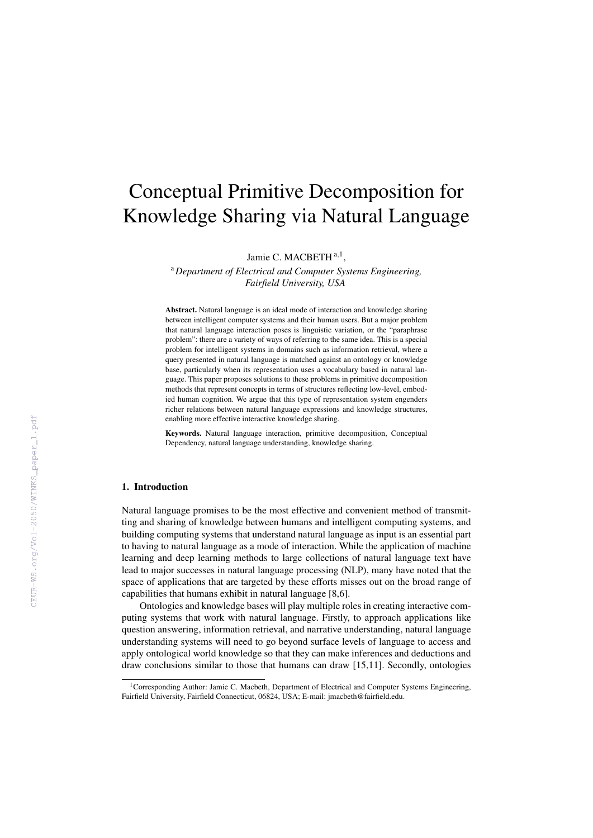# Conceptual Primitive Decomposition for Knowledge Sharing via Natural Language

Jamie C. MACBETH<sup>a,1</sup>,

<sup>a</sup>*Department of Electrical and Computer Systems Engineering, Fairfield University, USA*

Abstract. Natural language is an ideal mode of interaction and knowledge sharing between intelligent computer systems and their human users. But a major problem that natural language interaction poses is linguistic variation, or the "paraphrase problem": there are a variety of ways of referring to the same idea. This is a special problem for intelligent systems in domains such as information retrieval, where a query presented in natural language is matched against an ontology or knowledge base, particularly when its representation uses a vocabulary based in natural language. This paper proposes solutions to these problems in primitive decomposition methods that represent concepts in terms of structures reflecting low-level, embodied human cognition. We argue that this type of representation system engenders richer relations between natural language expressions and knowledge structures, enabling more effective interactive knowledge sharing.

Keywords. Natural language interaction, primitive decomposition, Conceptual Dependency, natural language understanding, knowledge sharing.

## 1. Introduction

Natural language promises to be the most effective and convenient method of transmitting and sharing of knowledge between humans and intelligent computing systems, and building computing systems that understand natural language as input is an essential part to having to natural language as a mode of interaction. While the application of machine learning and deep learning methods to large collections of natural language text have lead to major successes in natural language processing (NLP), many have noted that the space of applications that are targeted by these efforts misses out on the broad range of capabilities that humans exhibit in natural language [8,6].

Ontologies and knowledge bases will play multiple roles in creating interactive computing systems that work with natural language. Firstly, to approach applications like question answering, information retrieval, and narrative understanding, natural language understanding systems will need to go beyond surface levels of language to access and apply ontological world knowledge so that they can make inferences and deductions and draw conclusions similar to those that humans can draw [15,11]. Secondly, ontologies

<sup>&</sup>lt;sup>1</sup>Corresponding Author: Jamie C. Macbeth, Department of Electrical and Computer Systems Engineering, Fairfield University, Fairfield Connecticut, 06824, USA; E-mail: jmacbeth@fairfield.edu.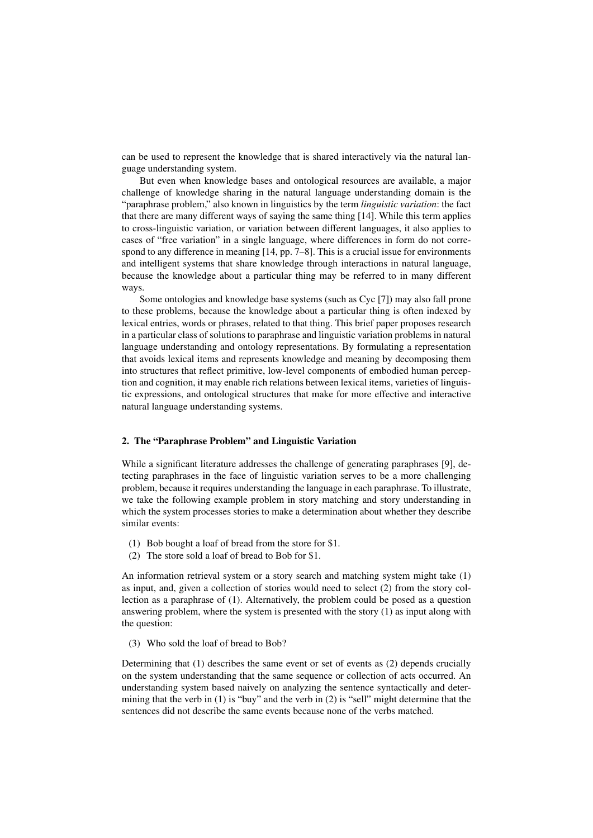can be used to represent the knowledge that is shared interactively via the natural language understanding system.

But even when knowledge bases and ontological resources are available, a major challenge of knowledge sharing in the natural language understanding domain is the "paraphrase problem," also known in linguistics by the term *linguistic variation*: the fact that there are many different ways of saying the same thing [14]. While this term applies to cross-linguistic variation, or variation between different languages, it also applies to cases of "free variation" in a single language, where differences in form do not correspond to any difference in meaning [14, pp. 7–8]. This is a crucial issue for environments and intelligent systems that share knowledge through interactions in natural language, because the knowledge about a particular thing may be referred to in many different ways.

Some ontologies and knowledge base systems (such as Cyc [7]) may also fall prone to these problems, because the knowledge about a particular thing is often indexed by lexical entries, words or phrases, related to that thing. This brief paper proposes research in a particular class of solutions to paraphrase and linguistic variation problems in natural language understanding and ontology representations. By formulating a representation that avoids lexical items and represents knowledge and meaning by decomposing them into structures that reflect primitive, low-level components of embodied human perception and cognition, it may enable rich relations between lexical items, varieties of linguistic expressions, and ontological structures that make for more effective and interactive natural language understanding systems.

## 2. The "Paraphrase Problem" and Linguistic Variation

While a significant literature addresses the challenge of generating paraphrases [9], detecting paraphrases in the face of linguistic variation serves to be a more challenging problem, because it requires understanding the language in each paraphrase. To illustrate, we take the following example problem in story matching and story understanding in which the system processes stories to make a determination about whether they describe similar events:

- (1) Bob bought a loaf of bread from the store for \$1.
- (2) The store sold a loaf of bread to Bob for \$1.

An information retrieval system or a story search and matching system might take (1) as input, and, given a collection of stories would need to select (2) from the story collection as a paraphrase of (1). Alternatively, the problem could be posed as a question answering problem, where the system is presented with the story (1) as input along with the question:

(3) Who sold the loaf of bread to Bob?

Determining that (1) describes the same event or set of events as (2) depends crucially on the system understanding that the same sequence or collection of acts occurred. An understanding system based naively on analyzing the sentence syntactically and determining that the verb in  $(1)$  is "buy" and the verb in  $(2)$  is "sell" might determine that the sentences did not describe the same events because none of the verbs matched.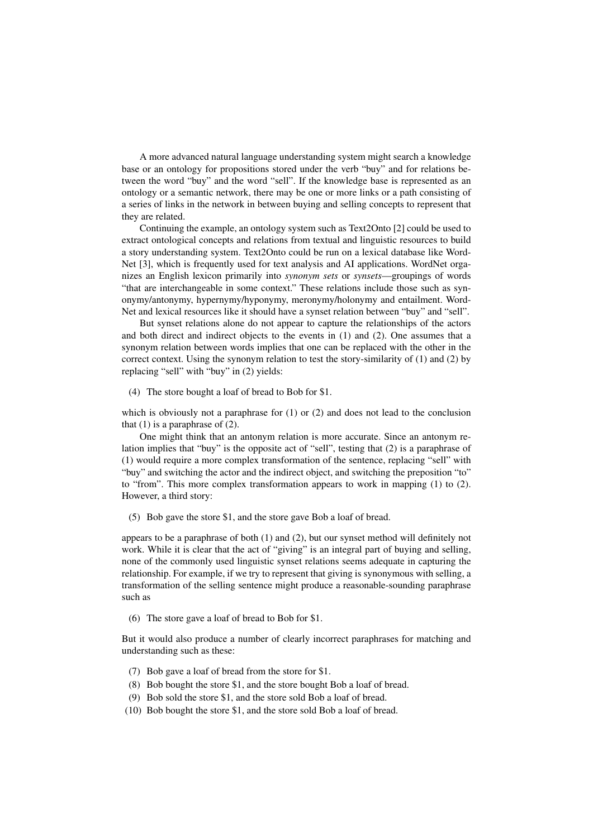A more advanced natural language understanding system might search a knowledge base or an ontology for propositions stored under the verb "buy" and for relations between the word "buy" and the word "sell". If the knowledge base is represented as an ontology or a semantic network, there may be one or more links or a path consisting of a series of links in the network in between buying and selling concepts to represent that they are related.

Continuing the example, an ontology system such as Text2Onto [2] could be used to extract ontological concepts and relations from textual and linguistic resources to build a story understanding system. Text2Onto could be run on a lexical database like Word-Net [3], which is frequently used for text analysis and AI applications. WordNet organizes an English lexicon primarily into *synonym sets* or *synsets*—groupings of words "that are interchangeable in some context." These relations include those such as synonymy/antonymy, hypernymy/hyponymy, meronymy/holonymy and entailment. Word-Net and lexical resources like it should have a synset relation between "buy" and "sell".

But synset relations alone do not appear to capture the relationships of the actors and both direct and indirect objects to the events in (1) and (2). One assumes that a synonym relation between words implies that one can be replaced with the other in the correct context. Using the synonym relation to test the story-similarity of (1) and (2) by replacing "sell" with "buy" in (2) yields:

(4) The store bought a loaf of bread to Bob for \$1.

which is obviously not a paraphrase for  $(1)$  or  $(2)$  and does not lead to the conclusion that  $(1)$  is a paraphrase of  $(2)$ .

One might think that an antonym relation is more accurate. Since an antonym relation implies that "buy" is the opposite act of "sell", testing that (2) is a paraphrase of (1) would require a more complex transformation of the sentence, replacing "sell" with "buy" and switching the actor and the indirect object, and switching the preposition "to" to "from". This more complex transformation appears to work in mapping (1) to (2). However, a third story:

(5) Bob gave the store \$1, and the store gave Bob a loaf of bread.

appears to be a paraphrase of both (1) and (2), but our synset method will definitely not work. While it is clear that the act of "giving" is an integral part of buying and selling, none of the commonly used linguistic synset relations seems adequate in capturing the relationship. For example, if we try to represent that giving is synonymous with selling, a transformation of the selling sentence might produce a reasonable-sounding paraphrase such as

(6) The store gave a loaf of bread to Bob for \$1.

But it would also produce a number of clearly incorrect paraphrases for matching and understanding such as these:

- (7) Bob gave a loaf of bread from the store for \$1.
- (8) Bob bought the store \$1, and the store bought Bob a loaf of bread.
- (9) Bob sold the store \$1, and the store sold Bob a loaf of bread.
- (10) Bob bought the store \$1, and the store sold Bob a loaf of bread.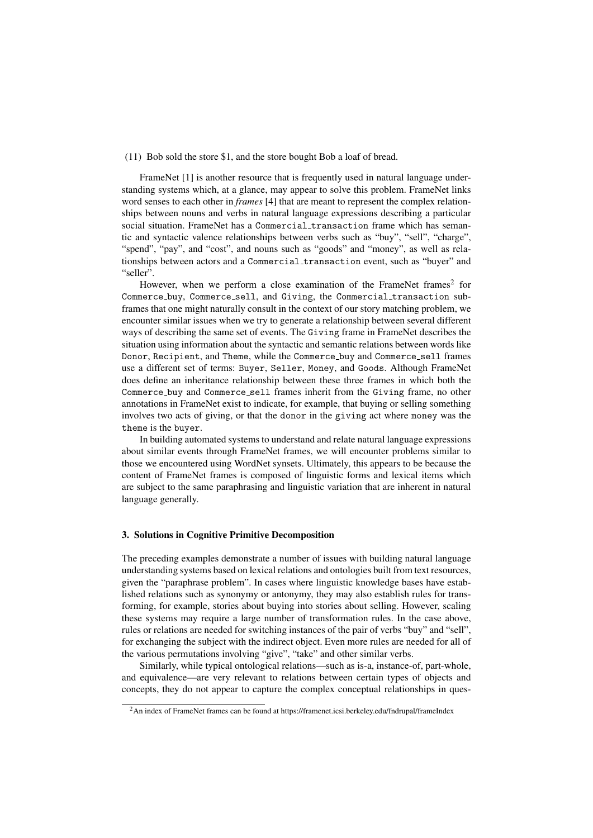### (11) Bob sold the store \$1, and the store bought Bob a loaf of bread.

FrameNet [1] is another resource that is frequently used in natural language understanding systems which, at a glance, may appear to solve this problem. FrameNet links word senses to each other in *frames* [4] that are meant to represent the complex relationships between nouns and verbs in natural language expressions describing a particular social situation. FrameNet has a Commercial transaction frame which has semantic and syntactic valence relationships between verbs such as "buy", "sell", "charge", "spend", "pay", and "cost", and nouns such as "goods" and "money", as well as relationships between actors and a Commercial\_transaction event, such as "buyer" and "seller".

However, when we perform a close examination of the FrameNet frames<sup>2</sup> for Commerce buy, Commerce sell, and Giving, the Commercial transaction subframes that one might naturally consult in the context of our story matching problem, we encounter similar issues when we try to generate a relationship between several different ways of describing the same set of events. The Giving frame in FrameNet describes the situation using information about the syntactic and semantic relations between words like Donor, Recipient, and Theme, while the Commerce buy and Commerce sell frames use a different set of terms: Buyer, Seller, Money, and Goods. Although FrameNet does define an inheritance relationship between these three frames in which both the Commerce buy and Commerce sell frames inherit from the Giving frame, no other annotations in FrameNet exist to indicate, for example, that buying or selling something involves two acts of giving, or that the donor in the giving act where money was the theme is the buyer.

In building automated systems to understand and relate natural language expressions about similar events through FrameNet frames, we will encounter problems similar to those we encountered using WordNet synsets. Ultimately, this appears to be because the content of FrameNet frames is composed of linguistic forms and lexical items which are subject to the same paraphrasing and linguistic variation that are inherent in natural language generally.

#### 3. Solutions in Cognitive Primitive Decomposition

The preceding examples demonstrate a number of issues with building natural language understanding systems based on lexical relations and ontologies built from text resources, given the "paraphrase problem". In cases where linguistic knowledge bases have established relations such as synonymy or antonymy, they may also establish rules for transforming, for example, stories about buying into stories about selling. However, scaling these systems may require a large number of transformation rules. In the case above, rules or relations are needed for switching instances of the pair of verbs "buy" and "sell", for exchanging the subject with the indirect object. Even more rules are needed for all of the various permutations involving "give", "take" and other similar verbs.

Similarly, while typical ontological relations—such as is-a, instance-of, part-whole, and equivalence—are very relevant to relations between certain types of objects and concepts, they do not appear to capture the complex conceptual relationships in ques-

<sup>2</sup>An index of FrameNet frames can be found at https://framenet.icsi.berkeley.edu/fndrupal/frameIndex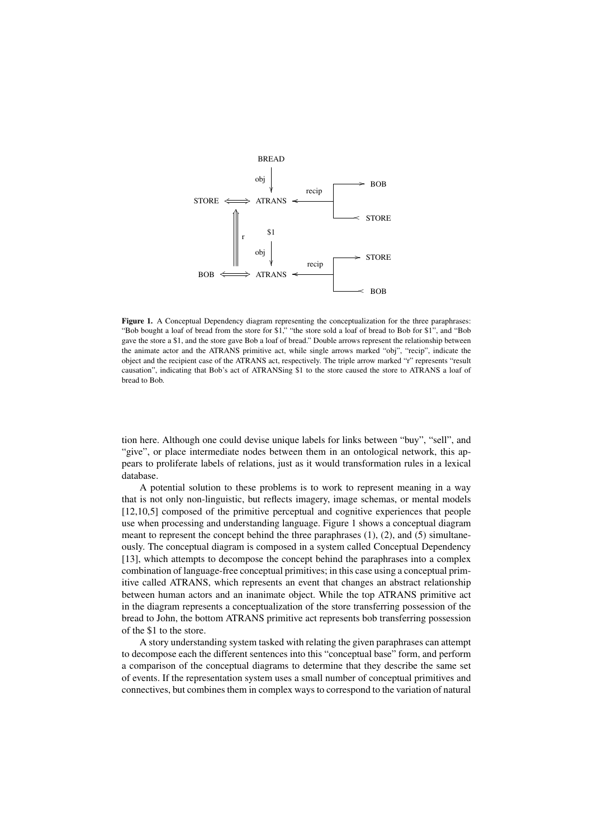

Figure 1. A Conceptual Dependency diagram representing the conceptualization for the three paraphrases: "Bob bought a loaf of bread from the store for \$1," "the store sold a loaf of bread to Bob for \$1", and "Bob gave the store a \$1, and the store gave Bob a loaf of bread." Double arrows represent the relationship between the animate actor and the ATRANS primitive act, while single arrows marked "obj", "recip", indicate the object and the recipient case of the ATRANS act, respectively. The triple arrow marked "r" represents "result causation", indicating that Bob's act of ATRANSing \$1 to the store caused the store to ATRANS a loaf of bread to Bob.

tion here. Although one could devise unique labels for links between "buy", "sell", and "give", or place intermediate nodes between them in an ontological network, this appears to proliferate labels of relations, just as it would transformation rules in a lexical database.

A potential solution to these problems is to work to represent meaning in a way that is not only non-linguistic, but reflects imagery, image schemas, or mental models [12,10,5] composed of the primitive perceptual and cognitive experiences that people use when processing and understanding language. Figure 1 shows a conceptual diagram meant to represent the concept behind the three paraphrases  $(1)$ ,  $(2)$ , and  $(5)$  simultaneously. The conceptual diagram is composed in a system called Conceptual Dependency [13], which attempts to decompose the concept behind the paraphrases into a complex combination of language-free conceptual primitives; in this case using a conceptual primitive called ATRANS, which represents an event that changes an abstract relationship between human actors and an inanimate object. While the top ATRANS primitive act in the diagram represents a conceptualization of the store transferring possession of the bread to John, the bottom ATRANS primitive act represents bob transferring possession of the \$1 to the store.

A story understanding system tasked with relating the given paraphrases can attempt to decompose each the different sentences into this "conceptual base" form, and perform a comparison of the conceptual diagrams to determine that they describe the same set of events. If the representation system uses a small number of conceptual primitives and connectives, but combines them in complex ways to correspond to the variation of natural